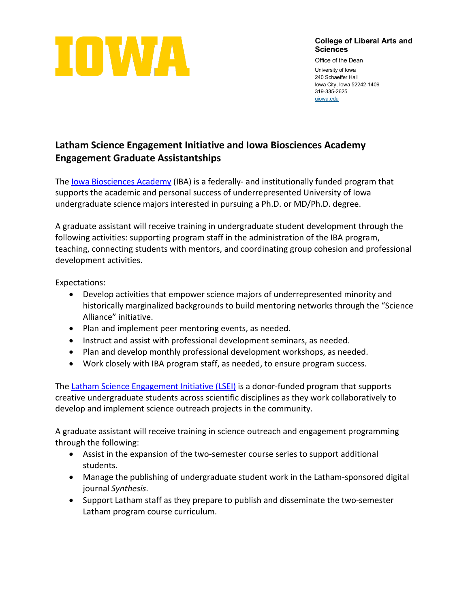

## **College of Liberal Arts and Sciences**

Office of the Dean University of Iowa 240 Schaeffer Hall Iowa City, Iowa 52242-1409 319-335-2625 [uiowa.edu](http://uiowa.edu/)

## **Latham Science Engagement Initiative and Iowa Biosciences Academy Engagement Graduate Assistantships**

The [Iowa Biosciences Academy](https://iba.biology.uiowa.edu/) (IBA) is a federally- and institutionally funded program that supports the academic and personal success of underrepresented University of Iowa undergraduate science majors interested in pursuing a Ph.D. or MD/Ph.D. degree.

A graduate assistant will receive training in undergraduate student development through the following activities: supporting program staff in the administration of the IBA program, teaching, connecting students with mentors, and coordinating group cohesion and professional development activities.

Expectations:

- Develop activities that empower science majors of underrepresented minority and historically marginalized backgrounds to build mentoring networks through the "Science Alliance" initiative.
- Plan and implement peer mentoring events, as needed.
- Instruct and assist with professional development seminars, as needed.
- Plan and develop monthly professional development workshops, as needed.
- Work closely with IBA program staff, as needed, to ensure program success.

The [Latham Science Engagement Initiative \(LSEI\)](https://latham.uiowa.edu/) is a donor-funded program that supports creative undergraduate students across scientific disciplines as they work collaboratively to develop and implement science outreach projects in the community.

A graduate assistant will receive training in science outreach and engagement programming through the following:

- Assist in the expansion of the two-semester course series to support additional students.
- Manage the publishing of undergraduate student work in the Latham-sponsored digital journal *Synthesis*.
- Support Latham staff as they prepare to publish and disseminate the two-semester Latham program course curriculum.